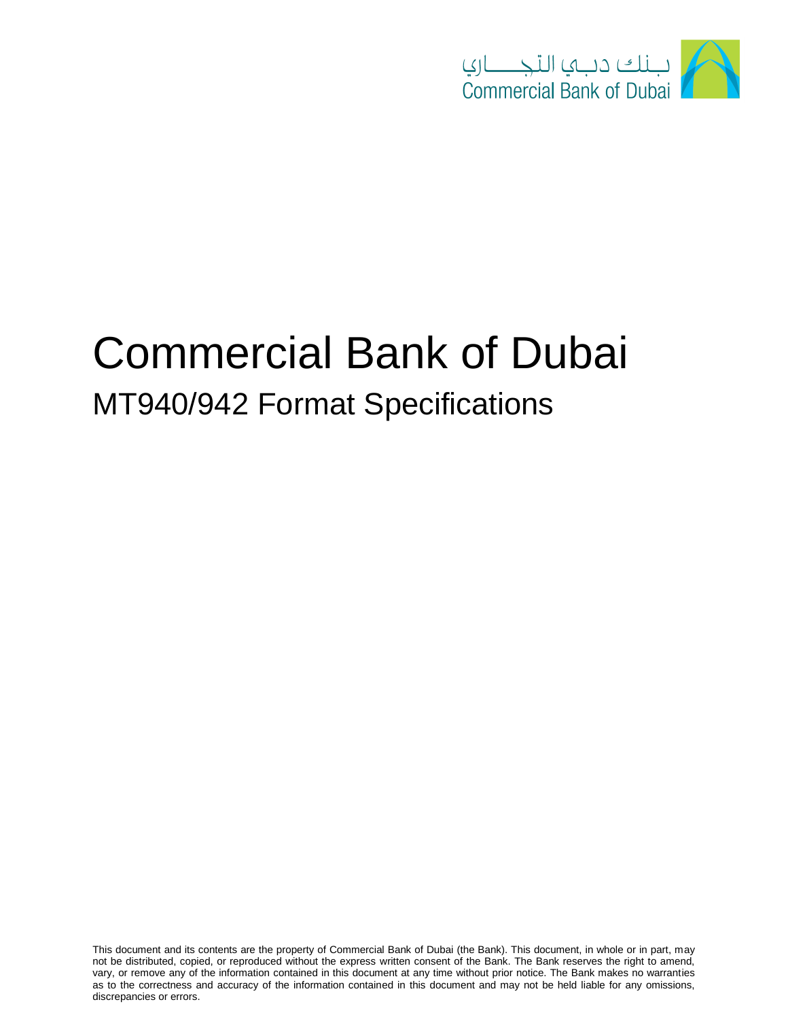

# Commercial Bank of Dubai MT940/942 Format Specifications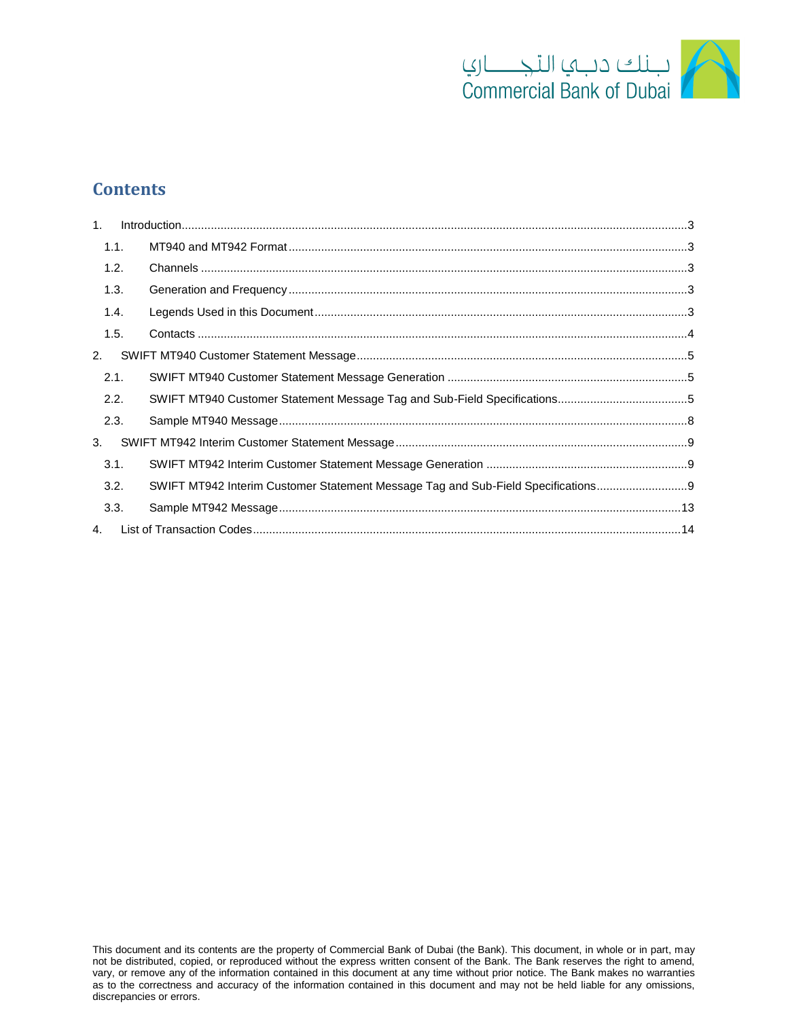

# **Contents**

| 1 <sub>1</sub> | $\int_0^{\pi} \frac{1}{2} \int_0^{\pi} \frac{1}{2} \int_0^{\pi} \frac{1}{2} \int_0^{\pi} \frac{1}{2} \int_0^{\pi} \frac{1}{2} \int_0^{\pi} \frac{1}{2} \int_0^{\pi} \frac{1}{2} \int_0^{\pi} \frac{1}{2} \int_0^{\pi} \frac{1}{2} \int_0^{\pi} \frac{1}{2} \int_0^{\pi} \frac{1}{2} \int_0^{\pi} \frac{1}{2} \int_0^{\pi} \frac{1}{2} \int_0^{\pi} \frac{1}{2} \int_0^{\pi} \frac$ |  |
|----------------|------------------------------------------------------------------------------------------------------------------------------------------------------------------------------------------------------------------------------------------------------------------------------------------------------------------------------------------------------------------------------------|--|
| 1.1.           |                                                                                                                                                                                                                                                                                                                                                                                    |  |
| 1.2.           |                                                                                                                                                                                                                                                                                                                                                                                    |  |
| 1.3.           |                                                                                                                                                                                                                                                                                                                                                                                    |  |
| 1.4.           |                                                                                                                                                                                                                                                                                                                                                                                    |  |
| 1.5.           |                                                                                                                                                                                                                                                                                                                                                                                    |  |
| 2.             |                                                                                                                                                                                                                                                                                                                                                                                    |  |
| 2.1.           |                                                                                                                                                                                                                                                                                                                                                                                    |  |
| 2.2.           |                                                                                                                                                                                                                                                                                                                                                                                    |  |
| 2.3.           |                                                                                                                                                                                                                                                                                                                                                                                    |  |
| 3.             |                                                                                                                                                                                                                                                                                                                                                                                    |  |
| 3.1.           |                                                                                                                                                                                                                                                                                                                                                                                    |  |
| 3.2.           | SWIFT MT942 Interim Customer Statement Message Tag and Sub-Field Specifications 9                                                                                                                                                                                                                                                                                                  |  |
| 3.3.           |                                                                                                                                                                                                                                                                                                                                                                                    |  |
| 4.             |                                                                                                                                                                                                                                                                                                                                                                                    |  |

This document and its contents are the property of Commercial Bank of Dubai (the Bank). This document, in whole or in part, may not be distributed, copied, or reproduced without the express written consent of the Bank. The Bank reserves the right to amend, vary, or remove any of the information contained in this document at any time without prior notice. The Bank makes no warranties as to the correctness and accuracy of the information contained in this document and may not be held liable for any omissions, discrepancies or errors.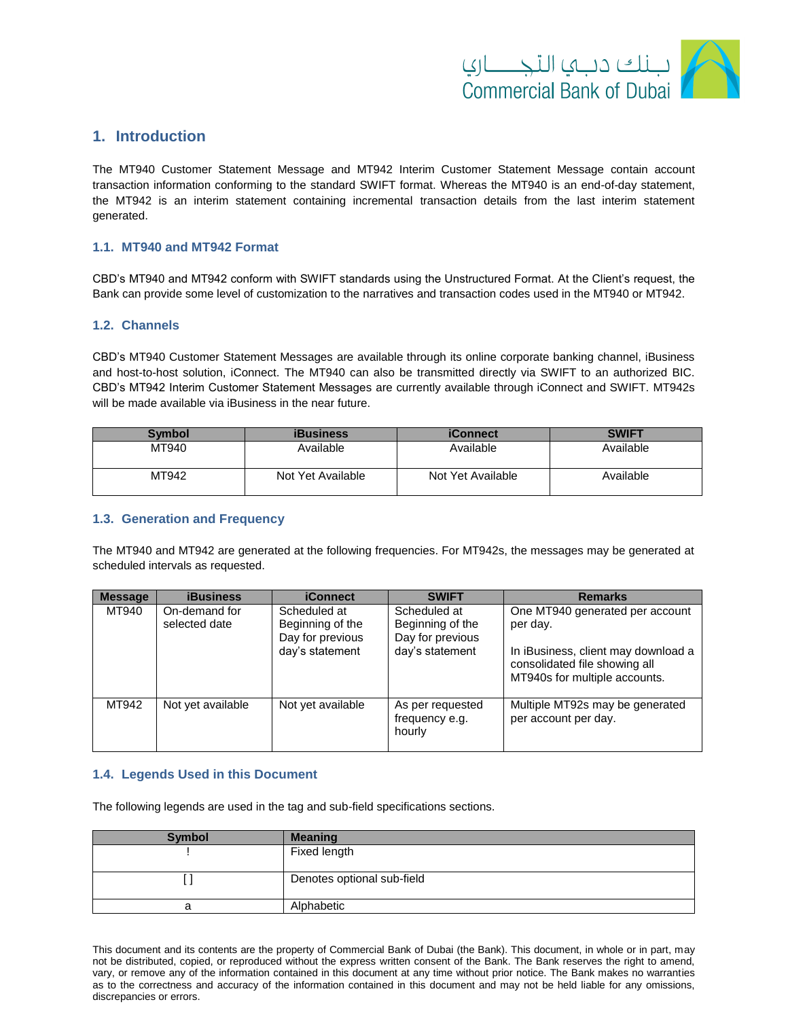

## <span id="page-2-0"></span>**1. Introduction**

The MT940 Customer Statement Message and MT942 Interim Customer Statement Message contain account transaction information conforming to the standard SWIFT format. Whereas the MT940 is an end-of-day statement, the MT942 is an interim statement containing incremental transaction details from the last interim statement generated.

#### <span id="page-2-1"></span>**1.1. MT940 and MT942 Format**

CBD's MT940 and MT942 conform with SWIFT standards using the Unstructured Format. At the Client's request, the Bank can provide some level of customization to the narratives and transaction codes used in the MT940 or MT942.

#### <span id="page-2-2"></span>**1.2. Channels**

CBD's MT940 Customer Statement Messages are available through its online corporate banking channel, iBusiness and host-to-host solution, iConnect. The MT940 can also be transmitted directly via SWIFT to an authorized BIC. CBD's MT942 Interim Customer Statement Messages are currently available through iConnect and SWIFT. MT942s will be made available via iBusiness in the near future.

| <b>Symbol</b> | <b>iBusiness</b>  | <b>iConnect</b>   | <b>SWIFT</b> |
|---------------|-------------------|-------------------|--------------|
| MT940         | Available         | Available         | Available    |
| MT942         | Not Yet Available | Not Yet Available | Available    |

#### <span id="page-2-3"></span>**1.3. Generation and Frequency**

The MT940 and MT942 are generated at the following frequencies. For MT942s, the messages may be generated at scheduled intervals as requested.

| <b>Message</b> | <b>iBusiness</b>  | <b>iConnect</b>   | <b>SWIFT</b>                                 | <b>Remarks</b>                                                                                        |
|----------------|-------------------|-------------------|----------------------------------------------|-------------------------------------------------------------------------------------------------------|
| MT940          | On-demand for     | Scheduled at      | Scheduled at                                 | One MT940 generated per account                                                                       |
|                | selected date     | Beginning of the  | Beginning of the                             | per day.                                                                                              |
|                |                   | Day for previous  | Day for previous                             |                                                                                                       |
|                |                   | day's statement   | day's statement                              | In iBusiness, client may download a<br>consolidated file showing all<br>MT940s for multiple accounts. |
| MT942          | Not yet available | Not yet available | As per requested<br>frequency e.g.<br>hourly | Multiple MT92s may be generated<br>per account per day.                                               |

#### <span id="page-2-4"></span>**1.4. Legends Used in this Document**

The following legends are used in the tag and sub-field specifications sections.

| <b>Symbol</b> | <b>Meaning</b>             |
|---------------|----------------------------|
|               | Fixed length               |
|               | Denotes optional sub-field |
| а             | Alphabetic                 |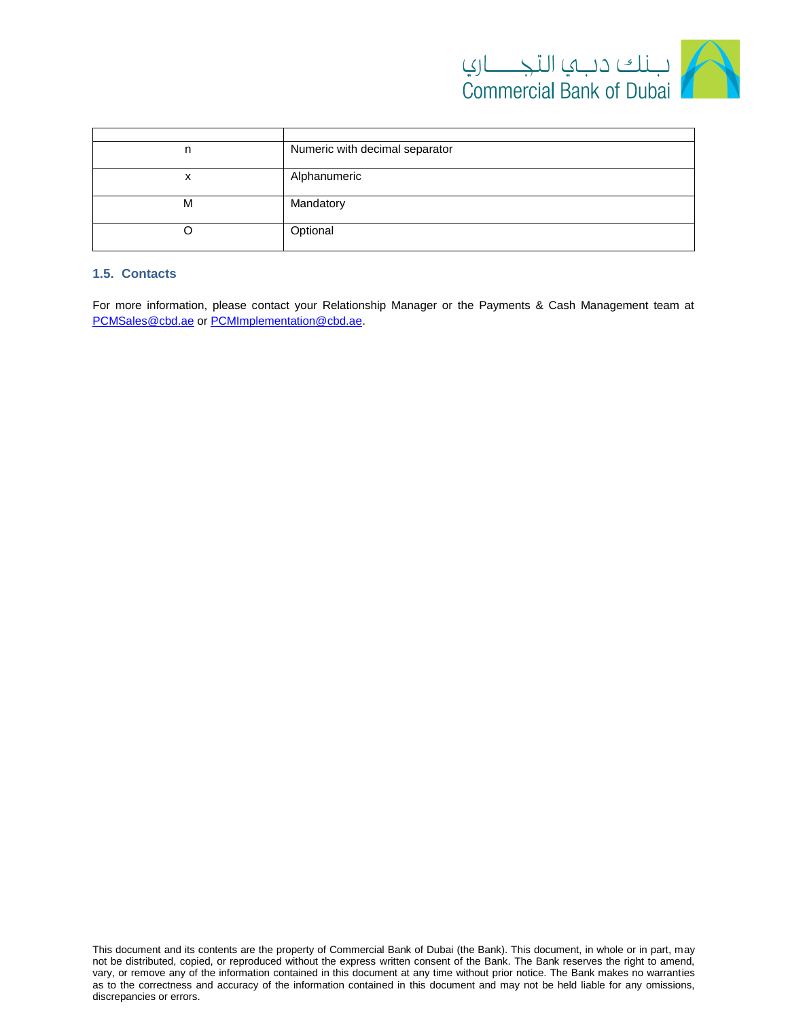

| n | Numeric with decimal separator |
|---|--------------------------------|
|   | Alphanumeric                   |
| м | Mandatory                      |
|   | Optional                       |

#### <span id="page-3-0"></span>**1.5. Contacts**

For more information, please contact your Relationship Manager or the Payments & Cash Management team at [PCMSales@cbd.ae](mailto:PCMSales@cbd.ae) o[r PCMImplementation@cbd.ae.](mailto:PCMImplementation@cbd.ae)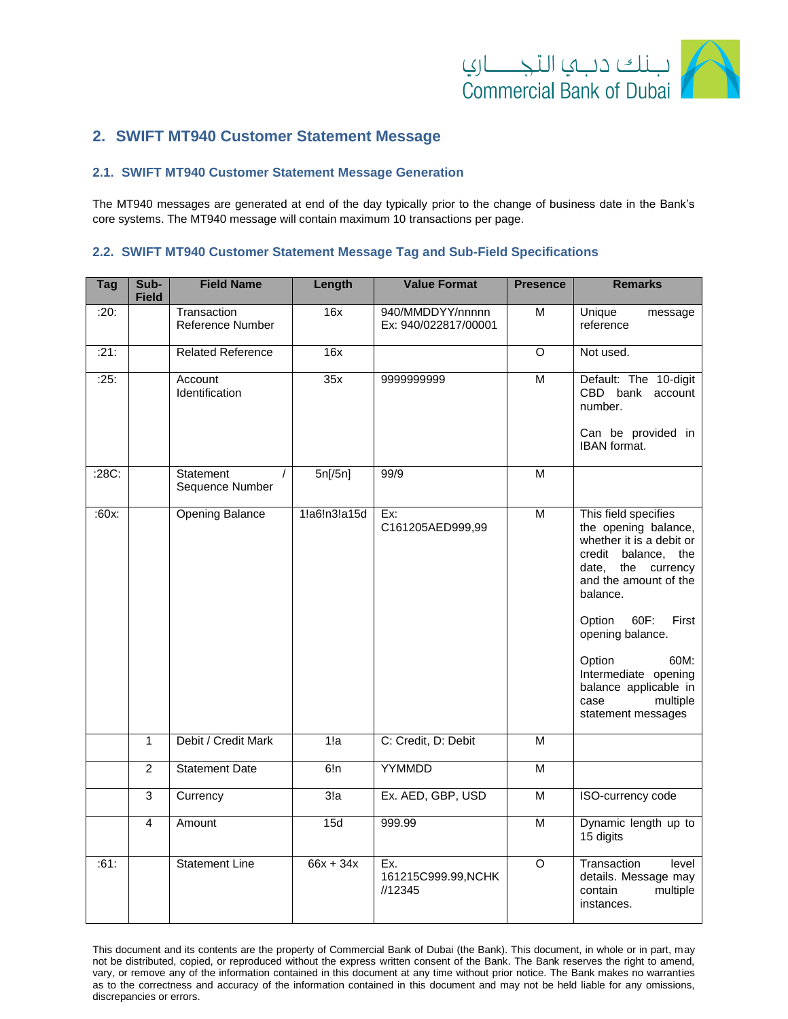## <span id="page-4-0"></span>**2. SWIFT MT940 Customer Statement Message**

#### <span id="page-4-1"></span>**2.1. SWIFT MT940 Customer Statement Message Generation**

The MT940 messages are generated at end of the day typically prior to the change of business date in the Bank's core systems. The MT940 message will contain maximum 10 transactions per page.

#### <span id="page-4-2"></span>**2.2. SWIFT MT940 Customer Statement Message Tag and Sub-Field Specifications**

| <b>Tag</b> | Sub-<br><b>Field</b> | <b>Field Name</b>                   | Length       | <b>Value Format</b>                      | <b>Presence</b> | <b>Remarks</b>                                                                                                                                                                                                                                                                                                                  |
|------------|----------------------|-------------------------------------|--------------|------------------------------------------|-----------------|---------------------------------------------------------------------------------------------------------------------------------------------------------------------------------------------------------------------------------------------------------------------------------------------------------------------------------|
| :20:       |                      | Transaction<br>Reference Number     | 16x          | 940/MMDDYY/nnnnn<br>Ex: 940/022817/00001 | M               | Unique<br>message<br>reference                                                                                                                                                                                                                                                                                                  |
| :21:       |                      | <b>Related Reference</b>            | 16x          |                                          | O               | Not used.                                                                                                                                                                                                                                                                                                                       |
| :25:       |                      | Account<br>Identification           | 35x          | 999999999                                | $\overline{M}$  | Default: The 10-digit<br>CBD bank account<br>number.<br>Can be provided in<br>IBAN format.                                                                                                                                                                                                                                      |
| :28C:      |                      | <b>Statement</b><br>Sequence Number | 5n[/5n]      | 99/9                                     | M               |                                                                                                                                                                                                                                                                                                                                 |
| $:60x$ :   |                      | Opening Balance                     | 1!a6!n3!a15d | Ex:<br>C161205AED999,99                  | M               | This field specifies<br>the opening balance,<br>whether it is a debit or<br>credit<br>balance,<br>the<br>date,<br>the currency<br>and the amount of the<br>balance.<br>60F:<br>Option<br>First<br>opening balance.<br>Option<br>60M:<br>Intermediate opening<br>balance applicable in<br>multiple<br>case<br>statement messages |
|            | $\mathbf{1}$         | Debit / Credit Mark                 | 1!a          | C: Credit, D: Debit                      | М               |                                                                                                                                                                                                                                                                                                                                 |
|            | $\overline{c}$       | <b>Statement Date</b>               | 6!n          | YYMMDD                                   | M               |                                                                                                                                                                                                                                                                                                                                 |
|            | $\overline{3}$       | Currency                            | 3!a          | Ex. AED, GBP, USD                        | M               | ISO-currency code                                                                                                                                                                                                                                                                                                               |
|            | 4                    | Amount                              | 15d          | 999.99                                   | $\overline{M}$  | Dynamic length up to<br>15 digits                                                                                                                                                                                                                                                                                               |
| :61:       |                      | <b>Statement Line</b>               | $66x + 34x$  | Ex.<br>161215C999.99, NCHK<br>1/12345    | O               | Transaction<br>level<br>details. Message may<br>multiple<br>contain<br>instances.                                                                                                                                                                                                                                               |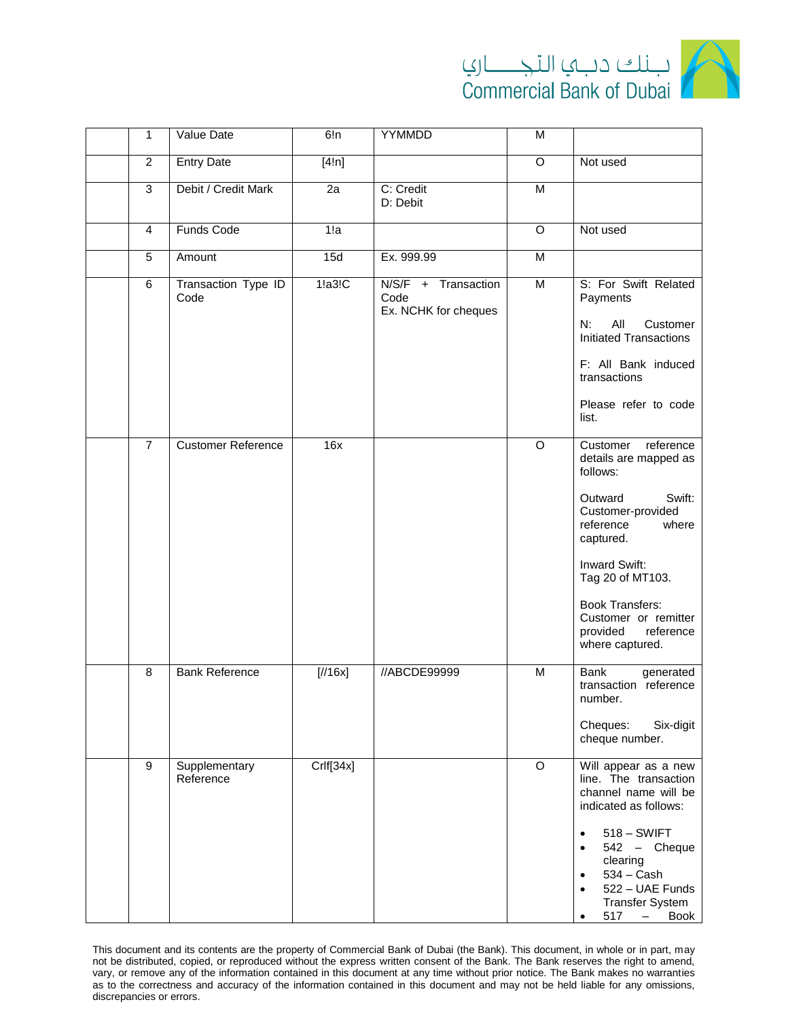التجـــــــاري التجـــــــاري<br>Commercial Bank of Dubai



| 1                | Value Date                  | 6!n       | YYMMDD                                              | M              |                                                                                                                                                                                                                                                                                   |
|------------------|-----------------------------|-----------|-----------------------------------------------------|----------------|-----------------------------------------------------------------------------------------------------------------------------------------------------------------------------------------------------------------------------------------------------------------------------------|
| $\overline{c}$   | <b>Entry Date</b>           | [4!n]     |                                                     | $\overline{O}$ | Not used                                                                                                                                                                                                                                                                          |
| $\overline{3}$   | Debit / Credit Mark         | 2a        | C: Credit<br>D: Debit                               | $\overline{M}$ |                                                                                                                                                                                                                                                                                   |
| 4                | Funds Code                  | 1!a       |                                                     | $\circ$        | Not used                                                                                                                                                                                                                                                                          |
| 5                | Amount                      | 15d       | Ex. 999.99                                          | M              |                                                                                                                                                                                                                                                                                   |
| $\,6$            | Transaction Type ID<br>Code | 1!a3!C    | N/S/F + Transaction<br>Code<br>Ex. NCHK for cheques | M              | S: For Swift Related<br>Payments<br>All<br>N:<br>Customer<br><b>Initiated Transactions</b><br>F: All Bank induced<br>transactions<br>Please refer to code<br>list.                                                                                                                |
| $\overline{7}$   | <b>Customer Reference</b>   | 16x       |                                                     | $\circ$        | Customer<br>reference<br>details are mapped as<br>follows:<br>Swift:<br>Outward<br>Customer-provided<br>where<br>reference<br>captured.<br><b>Inward Swift:</b><br>Tag 20 of MT103.<br><b>Book Transfers:</b><br>Customer or remitter<br>provided<br>reference<br>where captured. |
| 8                | <b>Bank Reference</b>       | [1/16x]   | //ABCDE99999                                        | M              | <b>Bank</b><br>generated<br>transaction reference<br>number.<br>Cheques:<br>Six-digit<br>cheque number.                                                                                                                                                                           |
| $\boldsymbol{9}$ | Supplementary<br>Reference  | CrIf[34x] |                                                     | $\circ$        | Will appear as a new<br>line. The transaction<br>channel name will be<br>indicated as follows:<br>$518 - SWIFT$<br>$\bullet$<br>542 - Cheque<br>$\bullet$<br>clearing<br>$534 - Cash$<br>$\bullet$<br>522 - UAE Funds<br>$\bullet$<br><b>Transfer System</b><br>$517 -$<br>Book   |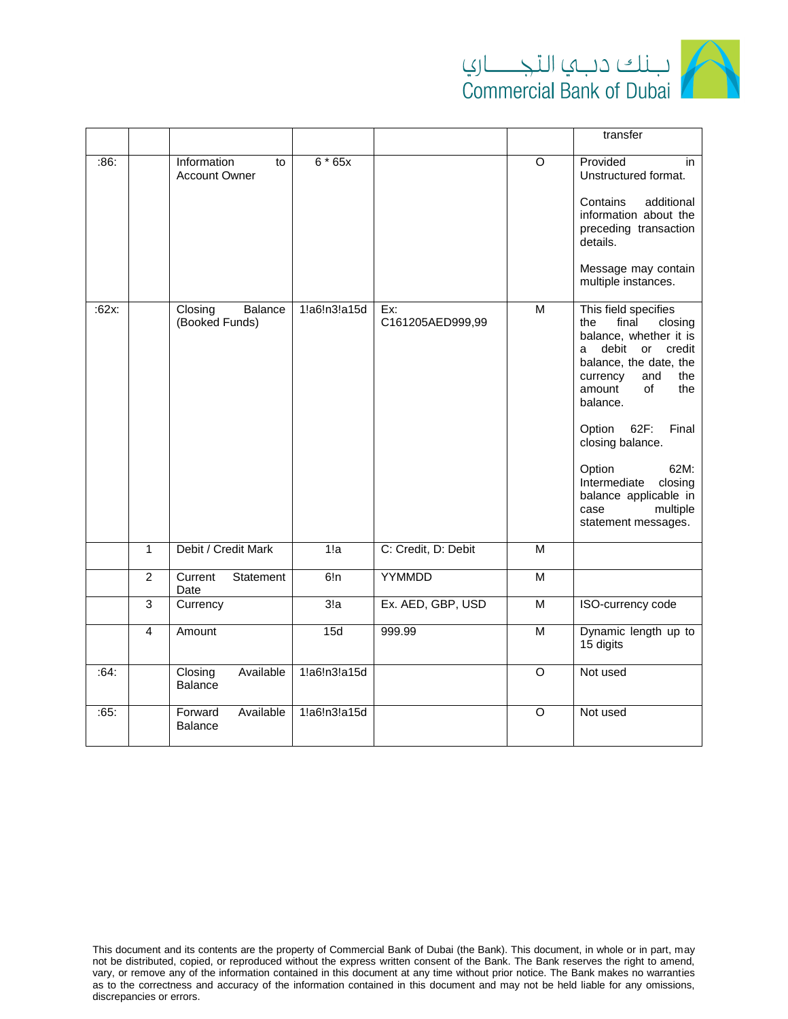



|      |                |                                           |              |                         |                | transfer                                                                                                                                                                                                                                                                                                                                                 |
|------|----------------|-------------------------------------------|--------------|-------------------------|----------------|----------------------------------------------------------------------------------------------------------------------------------------------------------------------------------------------------------------------------------------------------------------------------------------------------------------------------------------------------------|
| :86: |                | Information<br>to<br><b>Account Owner</b> | $6 * 65x$    |                         | O              | Provided<br>in<br>Unstructured format.<br>Contains<br>additional<br>information about the<br>preceding transaction<br>details.<br>Message may contain<br>multiple instances.                                                                                                                                                                             |
| :62x |                | Balance<br>Closing<br>(Booked Funds)      | 1!a6!n3!a15d | Ex:<br>C161205AED999,99 | $\overline{M}$ | This field specifies<br>final<br>the<br>closing<br>balance, whether it is<br>debit or credit<br>a<br>balance, the date, the<br>currency<br>and<br>the<br>amount<br>of<br>the<br>balance.<br>62F:<br>Option<br>Final<br>closing balance.<br>Option<br>62M:<br>Intermediate<br>closing<br>balance applicable in<br>multiple<br>case<br>statement messages. |
|      | $\mathbf{1}$   | Debit / Credit Mark                       | 1!a          | C: Credit, D: Debit     | $\overline{M}$ |                                                                                                                                                                                                                                                                                                                                                          |
|      | 2              | Current<br>Statement<br>Date              | 6!n          | YYMMDD                  | $\overline{M}$ |                                                                                                                                                                                                                                                                                                                                                          |
|      | $\overline{3}$ | Currency                                  | 3!a          | Ex. AED, GBP, USD       | $\overline{M}$ | ISO-currency code                                                                                                                                                                                                                                                                                                                                        |
|      | 4              | Amount                                    | 15d          | 999.99                  | $\overline{M}$ | Dynamic length up to<br>15 digits                                                                                                                                                                                                                                                                                                                        |
| :64: |                | Available<br>Closing<br>Balance           | 1!a6!n3!a15d |                         | O              | Not used                                                                                                                                                                                                                                                                                                                                                 |
| :65: |                | Available<br>Forward<br><b>Balance</b>    | 1!a6!n3!a15d |                         | O              | Not used                                                                                                                                                                                                                                                                                                                                                 |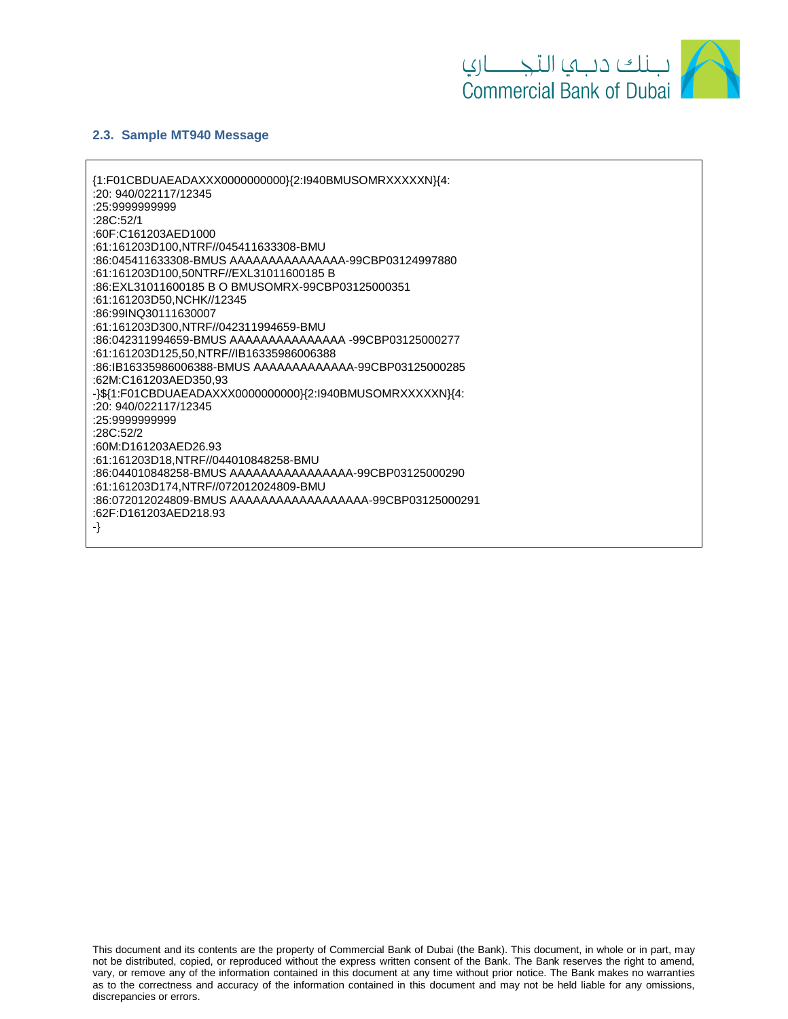

### <span id="page-7-0"></span>**2.3. Sample MT940 Message**

| {1:F01CBDUAEADAXXX0000000000}{2:I940BMUSOMRXXXXXN}{4:<br>:20: 940/022117/12345<br>:25:9999999999<br>:28C:52/1<br>:60F:C161203AED1000<br>:61:161203D100,NTRF//045411633308-BMU<br>:86:045411633308-BMUS AAAAAAAAAAAAAA-99CBP03124997880<br>:61:161203D100.50NTRF//EXL31011600185 B<br>:61:161203D50,NCHK//12345<br>:86:99INQ30111630007<br>:61:161203D300.NTRF//042311994659-BMU<br>:61:161203D125,50,NTRF//IB16335986006388<br>:62M:C161203AED350.93<br>-}\${1:F01CBDUAEADAXXX0000000000}{2:I940BMUSOMRXXXXXN}{4:<br>:20: 940/022117/12345<br>:25:9999999999<br>:28C:52/2<br>:60M:D161203AED26.93<br>:61:161203D18,NTRF//044010848258-BMU |  |
|-------------------------------------------------------------------------------------------------------------------------------------------------------------------------------------------------------------------------------------------------------------------------------------------------------------------------------------------------------------------------------------------------------------------------------------------------------------------------------------------------------------------------------------------------------------------------------------------------------------------------------------------|--|
|                                                                                                                                                                                                                                                                                                                                                                                                                                                                                                                                                                                                                                           |  |
| :61:161203D174,NTRF//072012024809-BMU                                                                                                                                                                                                                                                                                                                                                                                                                                                                                                                                                                                                     |  |
| :62F:D161203AED218.93<br>-}                                                                                                                                                                                                                                                                                                                                                                                                                                                                                                                                                                                                               |  |
|                                                                                                                                                                                                                                                                                                                                                                                                                                                                                                                                                                                                                                           |  |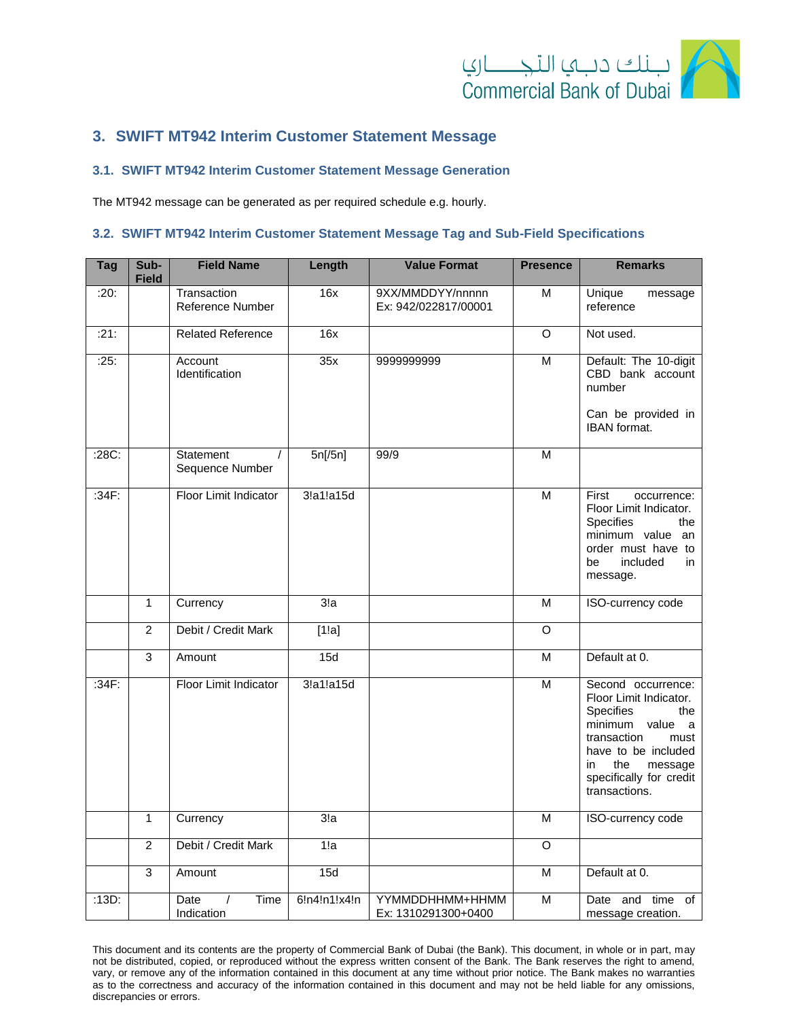# <span id="page-8-0"></span>**3. SWIFT MT942 Interim Customer Statement Message**

#### <span id="page-8-1"></span>**3.1. SWIFT MT942 Interim Customer Statement Message Generation**

The MT942 message can be generated as per required schedule e.g. hourly.

#### <span id="page-8-2"></span>**3.2. SWIFT MT942 Interim Customer Statement Message Tag and Sub-Field Specifications**

| Tag       | Sub-<br><b>Field</b> | <b>Field Name</b>                      | Length       | <b>Value Format</b>                      | <b>Presence</b>         | <b>Remarks</b>                                                                                                                                                                                        |
|-----------|----------------------|----------------------------------------|--------------|------------------------------------------|-------------------------|-------------------------------------------------------------------------------------------------------------------------------------------------------------------------------------------------------|
| :20:      |                      | Transaction<br>Reference Number        | 16x          | 9XX/MMDDYY/nnnnn<br>Ex: 942/022817/00001 | M                       | Unique<br>message<br>reference                                                                                                                                                                        |
| :21:      |                      | <b>Related Reference</b>               | 16x          |                                          | O                       | Not used.                                                                                                                                                                                             |
| :25:      |                      | Account<br>Identification              | 35x          | 9999999999                               | M                       | Default: The 10-digit<br>CBD bank account<br>number<br>Can be provided in<br>IBAN format.                                                                                                             |
| :28C:     |                      | Statement<br>Sequence Number           | 5n[/5n]      | 99/9                                     | M                       |                                                                                                                                                                                                       |
| :34F:     |                      | Floor Limit Indicator                  | 3!a1!a15d    |                                          | M                       | First<br>occurrence:<br>Floor Limit Indicator.<br>Specifies<br>the<br>minimum value an<br>order must have to<br>included<br>be<br>in.<br>message.                                                     |
|           | $\mathbf{1}$         | Currency                               | 3!a          |                                          | M                       | ISO-currency code                                                                                                                                                                                     |
|           | $\overline{2}$       | Debit / Credit Mark                    | [1!a]        |                                          | $\overline{\circ}$      |                                                                                                                                                                                                       |
|           | 3                    | Amount                                 | 15d          |                                          | $\overline{\mathsf{M}}$ | Default at 0.                                                                                                                                                                                         |
| : $34F$ : |                      | Floor Limit Indicator                  | 3!a1!a15d    |                                          | M                       | Second occurrence:<br>Floor Limit Indicator.<br>Specifies<br>the<br>minimum value a<br>transaction<br>must<br>have to be included<br>in<br>the<br>message<br>specifically for credit<br>transactions. |
|           | 1                    | Currency                               | 3!a          |                                          | M                       | ISO-currency code                                                                                                                                                                                     |
|           | $\overline{2}$       | Debit / Credit Mark                    | 1!a          |                                          | $\overline{\circ}$      |                                                                                                                                                                                                       |
|           | 3                    | Amount                                 | 15d          |                                          | M                       | Default at 0.                                                                                                                                                                                         |
| :13D:     |                      | Time<br>Date<br>$\prime$<br>Indication | 6!n4!n1!x4!n | YYMMDDHHMM+HHMM<br>Ex: 1310291300+0400   | M                       | Date and time of<br>message creation.                                                                                                                                                                 |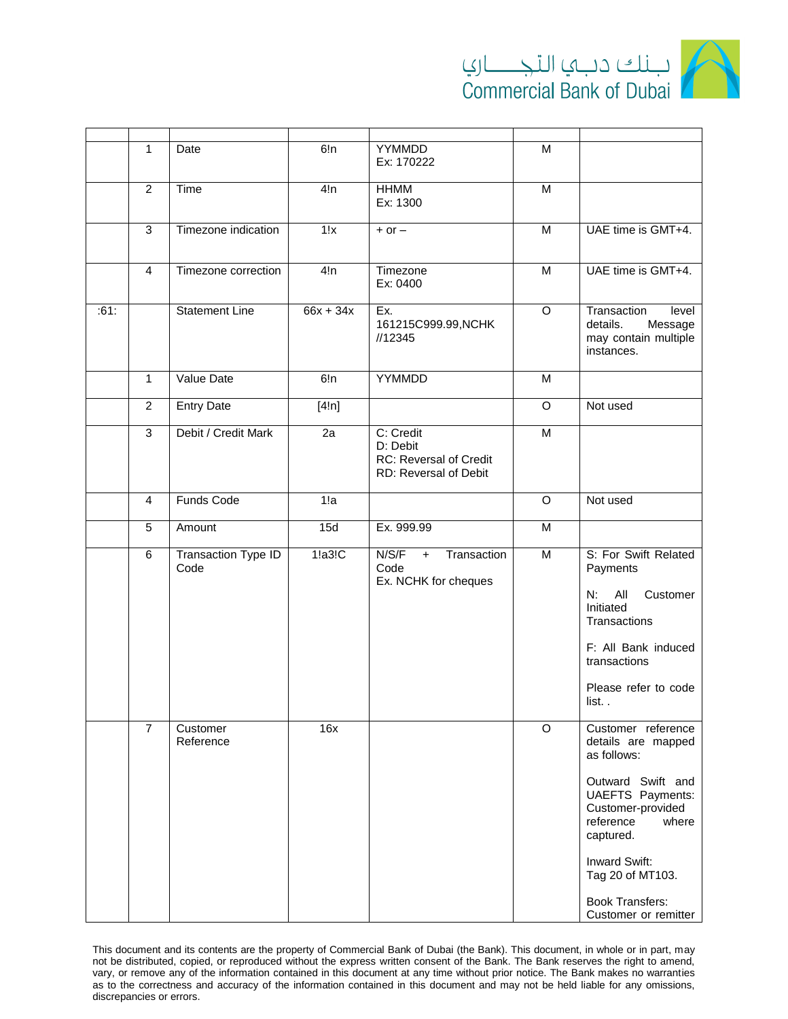



|      | $\mathbf{1}$   | Date                        | 6!n         | YYMMDD<br>Ex: 170222                                                     | M                       |                                                                                                                                                                                                                                                        |
|------|----------------|-----------------------------|-------------|--------------------------------------------------------------------------|-------------------------|--------------------------------------------------------------------------------------------------------------------------------------------------------------------------------------------------------------------------------------------------------|
|      | $\overline{2}$ | Time                        | 4!n         | <b>HHMM</b><br>Ex: 1300                                                  | M                       |                                                                                                                                                                                                                                                        |
|      | 3              | Timezone indication         | 1!x         | $+$ or $-$                                                               | $\overline{\mathsf{M}}$ | UAE time is GMT+4.                                                                                                                                                                                                                                     |
|      | 4              | Timezone correction         | 4!n         | Timezone<br>Ex: 0400                                                     | M                       | UAE time is GMT+4.                                                                                                                                                                                                                                     |
| :61: |                | <b>Statement Line</b>       | $66x + 34x$ | Ex.<br>161215C999.99, NCHK<br>//12345                                    | $\overline{O}$          | Transaction<br>level<br>details.<br>Message<br>may contain multiple<br>instances.                                                                                                                                                                      |
|      | $\mathbf{1}$   | Value Date                  | 6!n         | YYMMDD                                                                   | M                       |                                                                                                                                                                                                                                                        |
|      | $\overline{2}$ | <b>Entry Date</b>           | [4!n]       |                                                                          | $\circ$                 | Not used                                                                                                                                                                                                                                               |
|      | $\overline{3}$ | Debit / Credit Mark         | 2a          | C: Credit<br>D: Debit<br>RC: Reversal of Credit<br>RD: Reversal of Debit | $\overline{M}$          |                                                                                                                                                                                                                                                        |
|      | $\overline{4}$ | Funds Code                  | 1!a         |                                                                          | O                       | Not used                                                                                                                                                                                                                                               |
|      | 5              | Amount                      | 15d         | Ex. 999.99                                                               | M                       |                                                                                                                                                                                                                                                        |
|      | 6              | Transaction Type ID<br>Code | 1!a3!C      | N/S/F<br>Transaction<br>$+$<br>Code<br>Ex. NCHK for cheques              | M                       | S: For Swift Related<br>Payments<br>N:<br>All<br>Customer<br>Initiated<br>Transactions<br>F: All Bank induced<br>transactions<br>Please refer to code<br>list                                                                                          |
|      | $\overline{7}$ | Customer<br>Reference       | 16x         |                                                                          | $\circ$                 | Customer reference<br>details are mapped<br>as follows:<br>Outward Swift and<br><b>UAEFTS Payments:</b><br>Customer-provided<br>reference<br>where<br>captured.<br>Inward Swift:<br>Tag 20 of MT103.<br><b>Book Transfers:</b><br>Customer or remitter |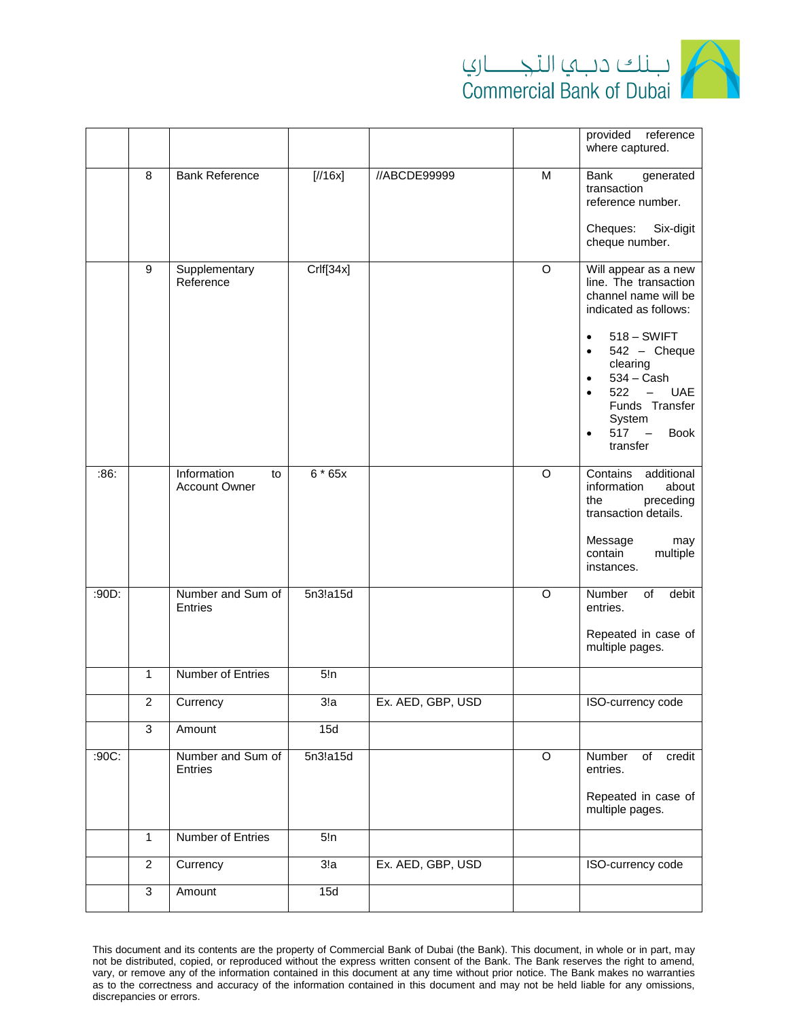



|       |                  |                                           |           |                   |                | provided<br>reference<br>where captured.                                                                                                                                                                                                                                                            |
|-------|------------------|-------------------------------------------|-----------|-------------------|----------------|-----------------------------------------------------------------------------------------------------------------------------------------------------------------------------------------------------------------------------------------------------------------------------------------------------|
|       | 8                | <b>Bank Reference</b>                     | $[1/16x]$ | //ABCDE99999      | M              | Bank<br>generated<br>transaction<br>reference number.<br>Six-digit<br>Cheques:<br>cheque number.                                                                                                                                                                                                    |
|       | $\boldsymbol{9}$ | Supplementary<br>Reference                | Crlf[34x] |                   | O              | Will appear as a new<br>line. The transaction<br>channel name will be<br>indicated as follows:<br>$518 - SWIFT$<br>$\bullet$<br>542 - Cheque<br>$\bullet$<br>clearing<br>$534 - Cash$<br>$\bullet$<br>$522 -$<br><b>UAE</b><br>Funds Transfer<br>System<br>$517 -$<br>Book<br>$\bullet$<br>transfer |
| :86:  |                  | Information<br>to<br><b>Account Owner</b> | $6 * 65x$ |                   | O              | Contains<br>additional<br>information<br>about<br>preceding<br>the<br>transaction details.<br>Message<br>may<br>contain<br>multiple<br>instances.                                                                                                                                                   |
| :90D: |                  | Number and Sum of<br>Entries              | 5n3!a15d  |                   | $\circ$        | Number<br>of<br>debit<br>entries.<br>Repeated in case of<br>multiple pages.                                                                                                                                                                                                                         |
|       | $\mathbf{1}$     | <b>Number of Entries</b>                  | 5!n       |                   |                |                                                                                                                                                                                                                                                                                                     |
|       | $\overline{2}$   | Currency                                  | 3!a       | Ex. AED, GBP, USD |                | ISO-currency code                                                                                                                                                                                                                                                                                   |
|       | 3                | Amount                                    | 15d       |                   |                |                                                                                                                                                                                                                                                                                                     |
| :90C: |                  | Number and Sum of<br>Entries              | 5n3!a15d  |                   | $\overline{O}$ | Number<br>of<br>credit<br>entries.<br>Repeated in case of<br>multiple pages.                                                                                                                                                                                                                        |
|       | $\mathbf{1}$     | Number of Entries                         | 5!n       |                   |                |                                                                                                                                                                                                                                                                                                     |
|       | $\overline{2}$   | Currency                                  | 3!a       | Ex. AED, GBP, USD |                | ISO-currency code                                                                                                                                                                                                                                                                                   |
|       | 3                | Amount                                    | 15d       |                   |                |                                                                                                                                                                                                                                                                                                     |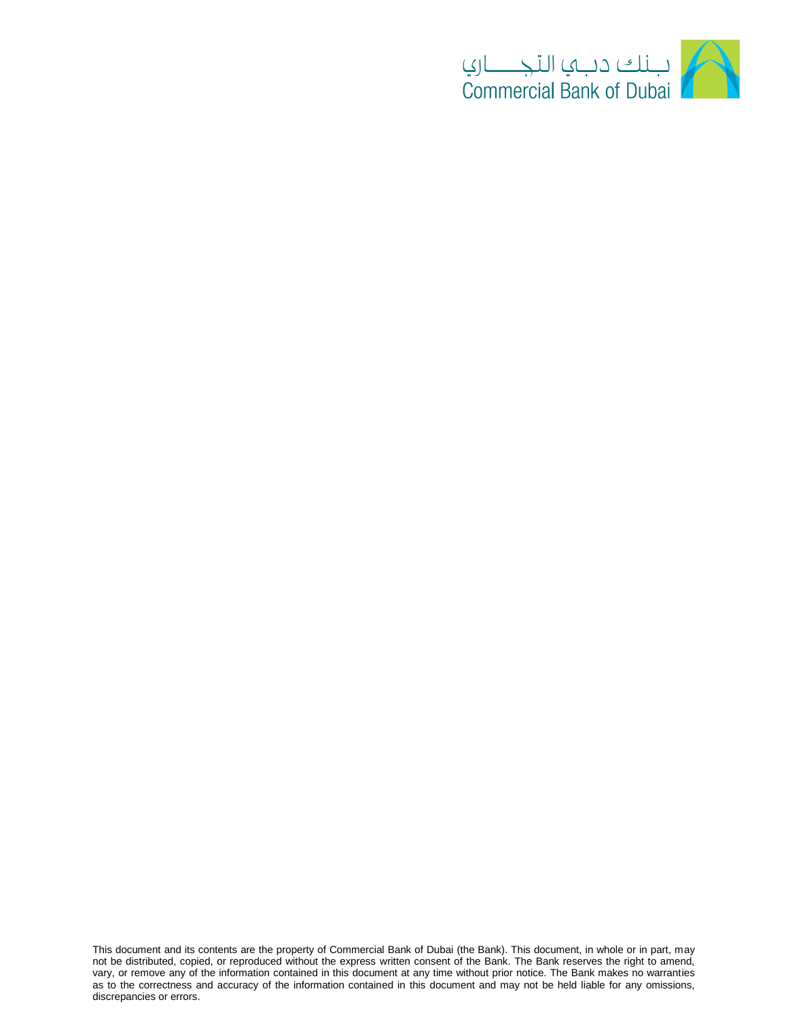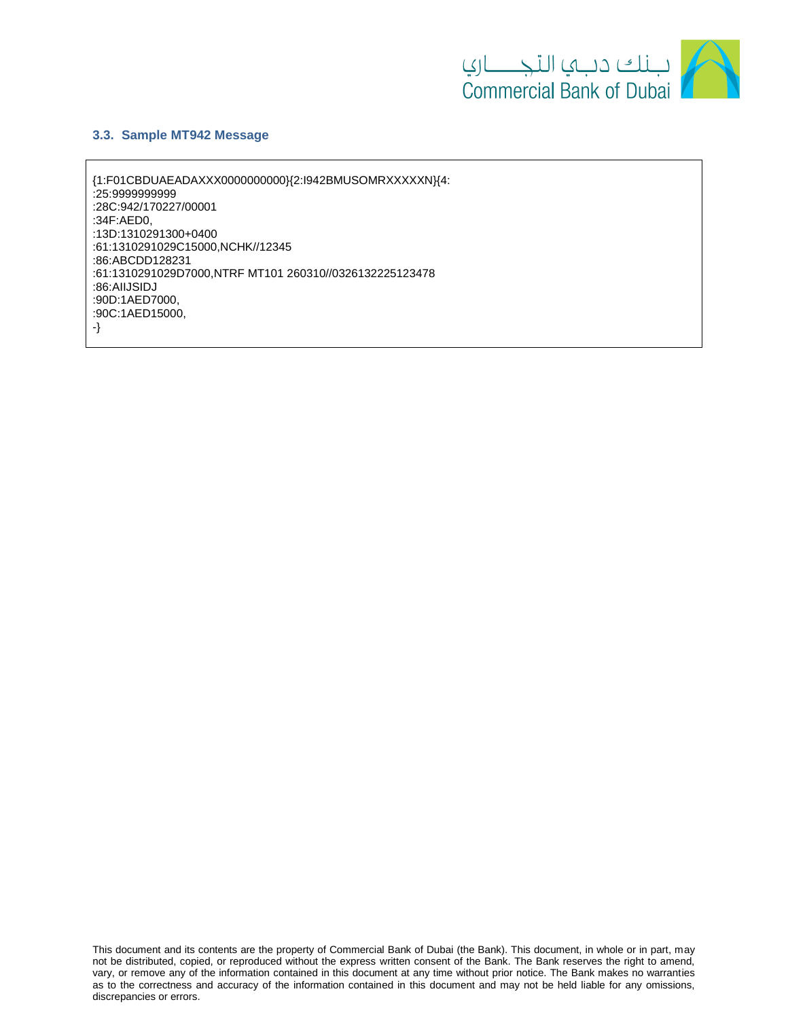

#### <span id="page-12-0"></span>**3.3. Sample MT942 Message**

{1:F01CBDUAEADAXXX0000000000}{2:I942BMUSOMRXXXXXN}{4: :25:9999999999 :28C:942/170227/00001 :34F:AED0, :13D:1310291300+0400 :61:1310291029C15000,NCHK//12345 :86:ABCDD128231 :61:1310291029D7000,NTRF MT101 260310//0326132225123478 :86:AIIJSIDJ :90D:1AED7000, :90C:1AED15000, -}